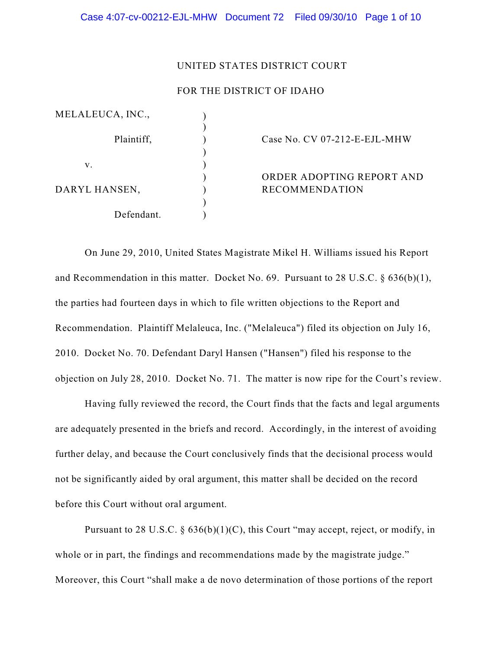#### UNITED STATES DISTRICT COURT

## FOR THE DISTRICT OF IDAHO

| MELALEUCA, INC., |                              |
|------------------|------------------------------|
| Plaintiff,       | Case No. CV 07-212-E-EJL-MHW |
|                  |                              |
| v.               |                              |
|                  | ORDER ADOPTING REPORT AND    |
| DARYL HANSEN,    | <b>RECOMMENDATION</b>        |
|                  |                              |
| Defendant.       |                              |

On June 29, 2010, United States Magistrate Mikel H. Williams issued his Report and Recommendation in this matter. Docket No. 69. Pursuant to 28 U.S.C. § 636(b)(1), the parties had fourteen days in which to file written objections to the Report and Recommendation. Plaintiff Melaleuca, Inc. ("Melaleuca") filed its objection on July 16, 2010. Docket No. 70. Defendant Daryl Hansen ("Hansen") filed his response to the objection on July 28, 2010. Docket No. 71. The matter is now ripe for the Court's review.

Having fully reviewed the record, the Court finds that the facts and legal arguments are adequately presented in the briefs and record. Accordingly, in the interest of avoiding further delay, and because the Court conclusively finds that the decisional process would not be significantly aided by oral argument, this matter shall be decided on the record before this Court without oral argument.

Pursuant to 28 U.S.C.  $\S$  636(b)(1)(C), this Court "may accept, reject, or modify, in whole or in part, the findings and recommendations made by the magistrate judge." Moreover, this Court "shall make a de novo determination of those portions of the report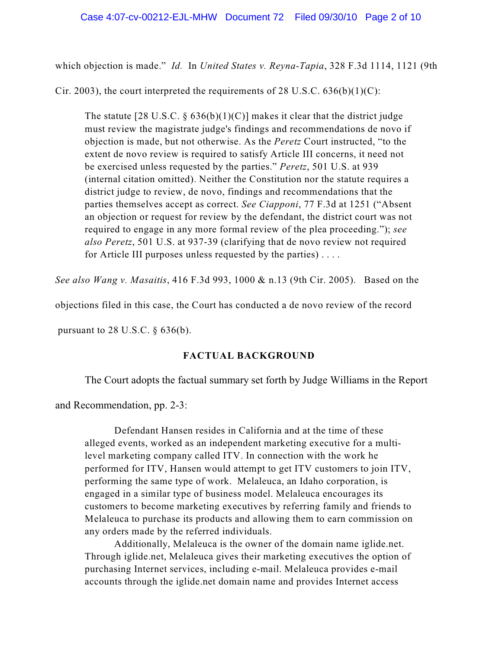which objection is made." *Id.* In *United States v. Reyna-Tapia*, 328 F.3d 1114, 1121 (9th

Cir. 2003), the court interpreted the requirements of 28 U.S.C.  $636(b)(1)(C)$ :

The statute [28 U.S.C.  $\S 636(b)(1)(C)$ ] makes it clear that the district judge must review the magistrate judge's findings and recommendations de novo if objection is made, but not otherwise. As the *Peretz* Court instructed, "to the extent de novo review is required to satisfy Article III concerns, it need not be exercised unless requested by the parties." *Peretz*, 501 U.S. at 939 (internal citation omitted). Neither the Constitution nor the statute requires a district judge to review, de novo, findings and recommendations that the parties themselves accept as correct. *See Ciapponi*, 77 F.3d at 1251 ("Absent an objection or request for review by the defendant, the district court was not required to engage in any more formal review of the plea proceeding."); *see also Peretz*, 501 U.S. at 937-39 (clarifying that de novo review not required for Article III purposes unless requested by the parties) . . . .

*See also Wang v. Masaitis*, 416 F.3d 993, 1000 & n.13 (9th Cir. 2005). Based on the

objections filed in this case, the Court has conducted a de novo review of the record

pursuant to 28 U.S.C.  $\S$  636(b).

# **FACTUAL BACKGROUND**

The Court adopts the factual summary set forth by Judge Williams in the Report

and Recommendation, pp. 2-3:

Defendant Hansen resides in California and at the time of these alleged events, worked as an independent marketing executive for a multilevel marketing company called ITV. In connection with the work he performed for ITV, Hansen would attempt to get ITV customers to join ITV, performing the same type of work. Melaleuca, an Idaho corporation, is engaged in a similar type of business model. Melaleuca encourages its customers to become marketing executives by referring family and friends to Melaleuca to purchase its products and allowing them to earn commission on any orders made by the referred individuals.

Additionally, Melaleuca is the owner of the domain name iglide.net. Through iglide.net, Melaleuca gives their marketing executives the option of purchasing Internet services, including e-mail. Melaleuca provides e-mail accounts through the iglide.net domain name and provides Internet access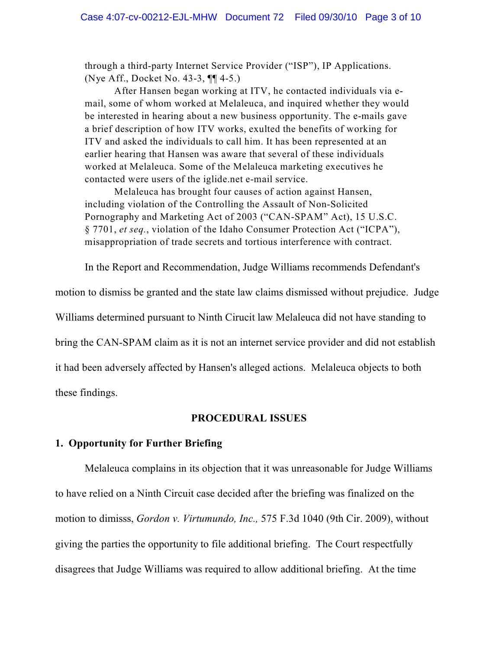through a third-party Internet Service Provider ("ISP"), IP Applications. (Nye Aff., Docket No. 43-3, ¶¶ 4-5.)

After Hansen began working at ITV, he contacted individuals via email, some of whom worked at Melaleuca, and inquired whether they would be interested in hearing about a new business opportunity. The e-mails gave a brief description of how ITV works, exulted the benefits of working for ITV and asked the individuals to call him. It has been represented at an earlier hearing that Hansen was aware that several of these individuals worked at Melaleuca. Some of the Melaleuca marketing executives he contacted were users of the iglide.net e-mail service.

Melaleuca has brought four causes of action against Hansen, including violation of the Controlling the Assault of Non-Solicited Pornography and Marketing Act of 2003 ("CAN-SPAM" Act), 15 U.S.C. § 7701, *et seq.*, violation of the Idaho Consumer Protection Act ("ICPA"), misappropriation of trade secrets and tortious interference with contract.

In the Report and Recommendation, Judge Williams recommends Defendant's

motion to dismiss be granted and the state law claims dismissed without prejudice. Judge Williams determined pursuant to Ninth Cirucit law Melaleuca did not have standing to bring the CAN-SPAM claim as it is not an internet service provider and did not establish it had been adversely affected by Hansen's alleged actions. Melaleuca objects to both these findings.

#### **PROCEDURAL ISSUES**

## **1. Opportunity for Further Briefing**

Melaleuca complains in its objection that it was unreasonable for Judge Williams to have relied on a Ninth Circuit case decided after the briefing was finalized on the motion to dimisss, *Gordon v. Virtumundo, Inc.,* 575 F.3d 1040 (9th Cir. 2009), without giving the parties the opportunity to file additional briefing. The Court respectfully disagrees that Judge Williams was required to allow additional briefing. At the time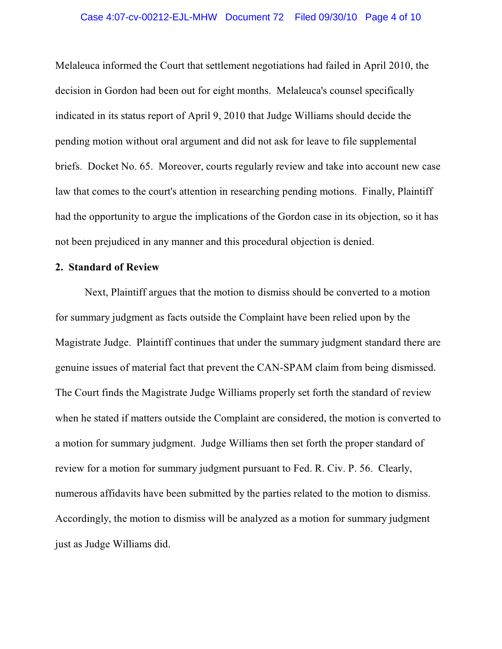## Case 4:07-cv-00212-EJL-MHW Document 72 Filed 09/30/10 Page 4 of 10

Melaleuca informed the Court that settlement negotiations had failed in April 2010, the decision in Gordon had been out for eight months. Melaleuca's counsel specifically indicated in its status report of April 9, 2010 that Judge Williams should decide the pending motion without oral argument and did not ask for leave to file supplemental briefs. Docket No. 65. Moreover, courts regularly review and take into account new case law that comes to the court's attention in researching pending motions. Finally, Plaintiff had the opportunity to argue the implications of the Gordon case in its objection, so it has not been prejudiced in any manner and this procedural objection is denied.

#### **2. Standard of Review**

Next, Plaintiff argues that the motion to dismiss should be converted to a motion for summary judgment as facts outside the Complaint have been relied upon by the Magistrate Judge. Plaintiff continues that under the summary judgment standard there are genuine issues of material fact that prevent the CAN-SPAM claim from being dismissed. The Court finds the Magistrate Judge Williams properly set forth the standard of review when he stated if matters outside the Complaint are considered, the motion is converted to a motion for summary judgment. Judge Williams then set forth the proper standard of review for a motion for summary judgment pursuant to Fed. R. Civ. P. 56. Clearly, numerous affidavits have been submitted by the parties related to the motion to dismiss. Accordingly, the motion to dismiss will be analyzed as a motion for summary judgment just as Judge Williams did.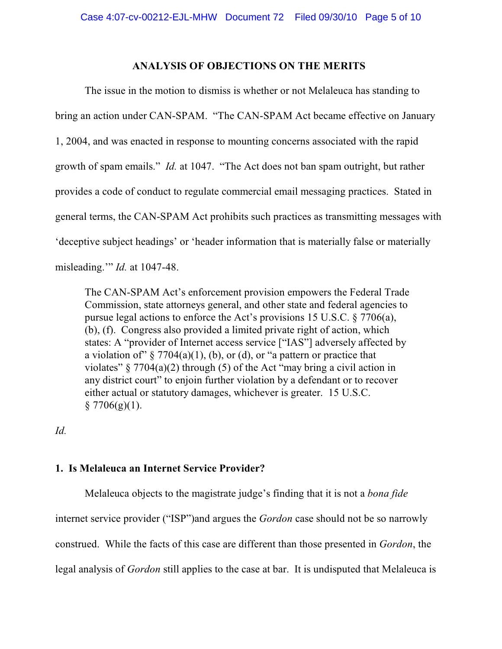### **ANALYSIS OF OBJECTIONS ON THE MERITS**

The issue in the motion to dismiss is whether or not Melaleuca has standing to bring an action under CAN-SPAM. "The CAN-SPAM Act became effective on January 1, 2004, and was enacted in response to mounting concerns associated with the rapid growth of spam emails." *Id.* at 1047. "The Act does not ban spam outright, but rather provides a code of conduct to regulate commercial email messaging practices. Stated in general terms, the CAN-SPAM Act prohibits such practices as transmitting messages with 'deceptive subject headings' or 'header information that is materially false or materially misleading.'" *Id.* at 1047-48.

The CAN-SPAM Act's enforcement provision empowers the Federal Trade Commission, state attorneys general, and other state and federal agencies to pursue legal actions to enforce the Act's provisions 15 U.S.C. § 7706(a), (b), (f). Congress also provided a limited private right of action, which states: A "provider of Internet access service ["IAS"] adversely affected by a violation of"  $\S$  7704(a)(1), (b), or (d), or "a pattern or practice that violates"  $\S 7704(a)(2)$  through (5) of the Act "may bring a civil action in any district court" to enjoin further violation by a defendant or to recover either actual or statutory damages, whichever is greater. 15 U.S.C.  $§ 7706(g)(1).$ 

*Id.*

# **1. Is Melaleuca an Internet Service Provider?**

Melaleuca objects to the magistrate judge's finding that it is not a *bona fide* internet service provider ("ISP")and argues the *Gordon* case should not be so narrowly construed. While the facts of this case are different than those presented in *Gordon*, the legal analysis of *Gordon* still applies to the case at bar. It is undisputed that Melaleuca is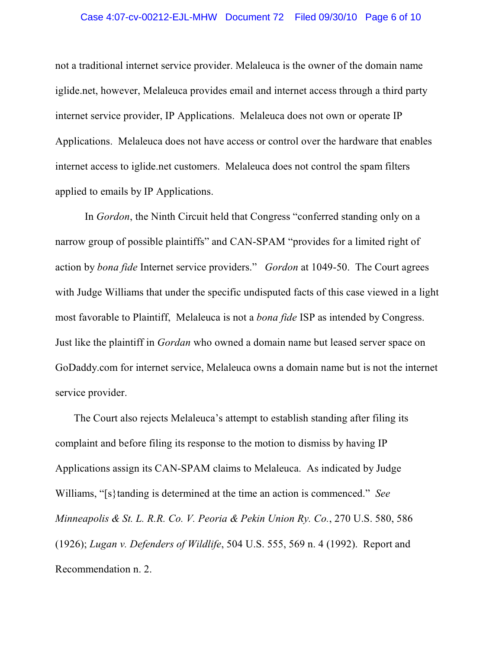## Case 4:07-cv-00212-EJL-MHW Document 72 Filed 09/30/10 Page 6 of 10

not a traditional internet service provider. Melaleuca is the owner of the domain name iglide.net, however, Melaleuca provides email and internet access through a third party internet service provider, IP Applications. Melaleuca does not own or operate IP Applications. Melaleuca does not have access or control over the hardware that enables internet access to iglide.net customers. Melaleuca does not control the spam filters applied to emails by IP Applications.

In *Gordon*, the Ninth Circuit held that Congress "conferred standing only on a narrow group of possible plaintiffs" and CAN-SPAM "provides for a limited right of action by *bona fide* Internet service providers." *Gordon* at 1049-50. The Court agrees with Judge Williams that under the specific undisputed facts of this case viewed in a light most favorable to Plaintiff, Melaleuca is not a *bona fide* ISP as intended by Congress. Just like the plaintiff in *Gordan* who owned a domain name but leased server space on GoDaddy.com for internet service, Melaleuca owns a domain name but is not the internet service provider.

 The Court also rejects Melaleuca's attempt to establish standing after filing its complaint and before filing its response to the motion to dismiss by having IP Applications assign its CAN-SPAM claims to Melaleuca. As indicated by Judge Williams, "[s}tanding is determined at the time an action is commenced." *See Minneapolis & St. L. R.R. Co. V. Peoria & Pekin Union Ry. Co.*, 270 U.S. 580, 586 (1926); *Lugan v. Defenders of Wildlife*, 504 U.S. 555, 569 n. 4 (1992). Report and Recommendation n. 2.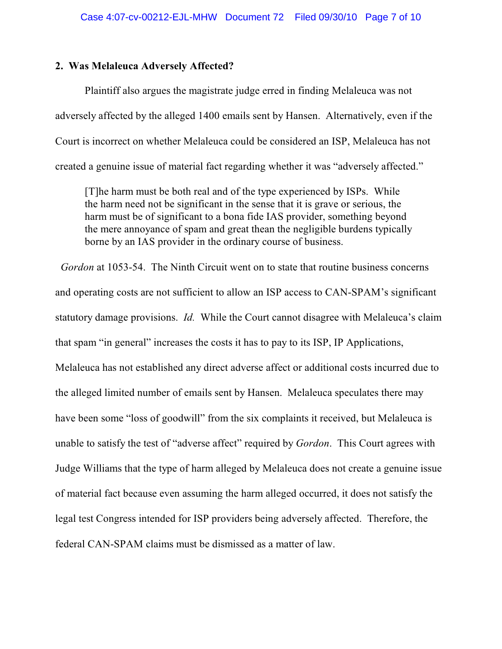### **2. Was Melaleuca Adversely Affected?**

Plaintiff also argues the magistrate judge erred in finding Melaleuca was not adversely affected by the alleged 1400 emails sent by Hansen. Alternatively, even if the Court is incorrect on whether Melaleuca could be considered an ISP, Melaleuca has not created a genuine issue of material fact regarding whether it was "adversely affected."

[T]he harm must be both real and of the type experienced by ISPs. While the harm need not be significant in the sense that it is grave or serious, the harm must be of significant to a bona fide IAS provider, something beyond the mere annoyance of spam and great thean the negligible burdens typically borne by an IAS provider in the ordinary course of business.

 *Gordon* at 1053-54. The Ninth Circuit went on to state that routine business concerns and operating costs are not sufficient to allow an ISP access to CAN-SPAM's significant statutory damage provisions. *Id.* While the Court cannot disagree with Melaleuca's claim that spam "in general" increases the costs it has to pay to its ISP, IP Applications, Melaleuca has not established any direct adverse affect or additional costs incurred due to the alleged limited number of emails sent by Hansen. Melaleuca speculates there may have been some "loss of goodwill" from the six complaints it received, but Melaleuca is unable to satisfy the test of "adverse affect" required by *Gordon*. This Court agrees with Judge Williams that the type of harm alleged by Melaleuca does not create a genuine issue of material fact because even assuming the harm alleged occurred, it does not satisfy the legal test Congress intended for ISP providers being adversely affected. Therefore, the federal CAN-SPAM claims must be dismissed as a matter of law.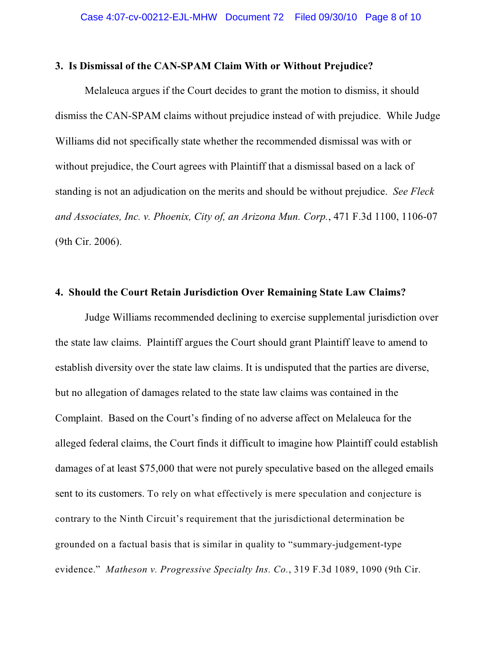## **3. Is Dismissal of the CAN-SPAM Claim With or Without Prejudice?**

Melaleuca argues if the Court decides to grant the motion to dismiss, it should dismiss the CAN-SPAM claims without prejudice instead of with prejudice. While Judge Williams did not specifically state whether the recommended dismissal was with or without prejudice, the Court agrees with Plaintiff that a dismissal based on a lack of standing is not an adjudication on the merits and should be without prejudice. *See Fleck and Associates, Inc. v. Phoenix, City of, an Arizona Mun. Corp.*, 471 F.3d 1100, 1106-07 (9th Cir. 2006).

#### **4. Should the Court Retain Jurisdiction Over Remaining State Law Claims?**

Judge Williams recommended declining to exercise supplemental jurisdiction over the state law claims. Plaintiff argues the Court should grant Plaintiff leave to amend to establish diversity over the state law claims. It is undisputed that the parties are diverse, but no allegation of damages related to the state law claims was contained in the Complaint. Based on the Court's finding of no adverse affect on Melaleuca for the alleged federal claims, the Court finds it difficult to imagine how Plaintiff could establish damages of at least \$75,000 that were not purely speculative based on the alleged emails sent to its customers. To rely on what effectively is mere speculation and conjecture is contrary to the Ninth Circuit's requirement that the jurisdictional determination be grounded on a factual basis that is similar in quality to "summary-judgement-type evidence." *Matheson v. Progressive Specialty Ins. Co.*, 319 F.3d 1089, 1090 (9th Cir.